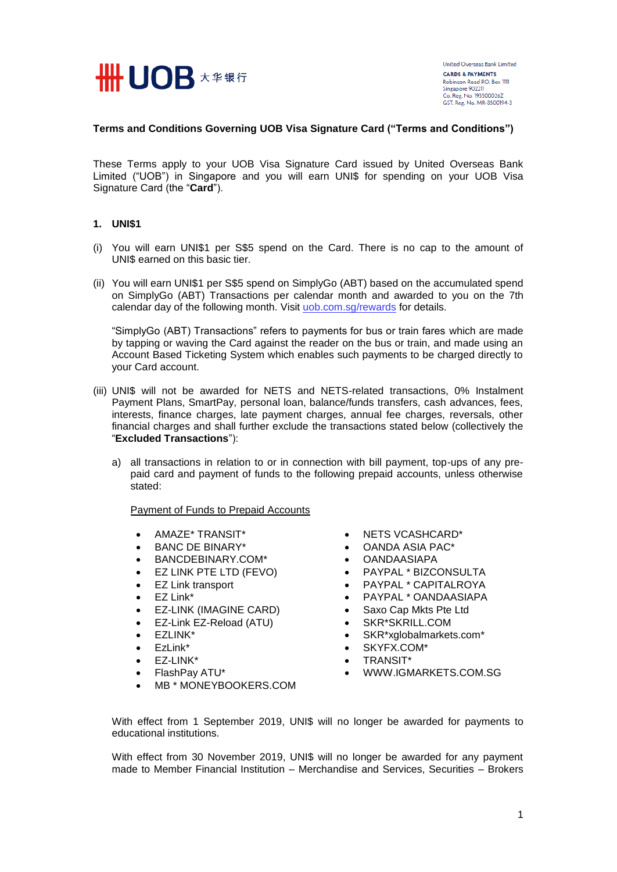

### **Terms and Conditions Governing UOB Visa Signature Card ("Terms and Conditions")**

These Terms apply to your UOB Visa Signature Card issued by United Overseas Bank Limited ("UOB") in Singapore and you will earn UNI\$ for spending on your UOB Visa Signature Card (the "**Card**").

## **1. UNI\$1**

- (i) You will earn UNI\$1 per S\$5 spend on the Card. There is no cap to the amount of UNI\$ earned on this basic tier.
- (ii) You will earn UNI\$1 per S\$5 spend on SimplyGo (ABT) based on the accumulated spend on SimplyGo (ABT) Transactions per calendar month and awarded to you on the 7th calendar day of the following month. Visit [uob.com.sg/rewards](https://www.uob.com.sg/rewards) for details.

"SimplyGo (ABT) Transactions" refers to payments for bus or train fares which are made by tapping or waving the Card against the reader on the bus or train, and made using an Account Based Ticketing System which enables such payments to be charged directly to your Card account.

- (iii) UNI\$ will not be awarded for NETS and NETS-related transactions, 0% Instalment Payment Plans, SmartPay, personal loan, balance/funds transfers, cash advances, fees, interests, finance charges, late payment charges, annual fee charges, reversals, other financial charges and shall further exclude the transactions stated below (collectively the "**Excluded Transactions**"):
	- a) all transactions in relation to or in connection with bill payment, top-ups of any prepaid card and payment of funds to the following prepaid accounts, unless otherwise stated:

#### Payment of Funds to Prepaid Accounts

- AMAZE\* TRANSIT\*
- BANC DE BINARY\*
- BANCDEBINARY.COM\*
- EZ LINK PTE LTD (FEVO)
- EZ Link transport
- EZ Link\*
- EZ-LINK (IMAGINE CARD)
- EZ-Link EZ-Reload (ATU)
- EZLINK\*
- EzLink\*
- EZ-LINK\*
- FlashPay ATU\*
- MB \* MONEYBOOKERS.COM
- NETS VCASHCARD\*
- OANDA ASIA PAC\*
- OANDAASIAPA
- PAYPAL \* BIZCONSULTA
- PAYPAL \* CAPITALROYA
- PAYPAL \* OANDAASIAPA
- Saxo Cap Mkts Pte Ltd
- SKR\*SKRILL.COM
- SKR\*xglobalmarkets.com\*
- SKYFX.COM\*
- TRANSIT\*
- WWW.IGMARKETS.COM.SG

With effect from 1 September 2019, UNI\$ will no longer be awarded for payments to educational institutions.

With effect from 30 November 2019, UNI\$ will no longer be awarded for any payment made to Member Financial Institution – Merchandise and Services, Securities – Brokers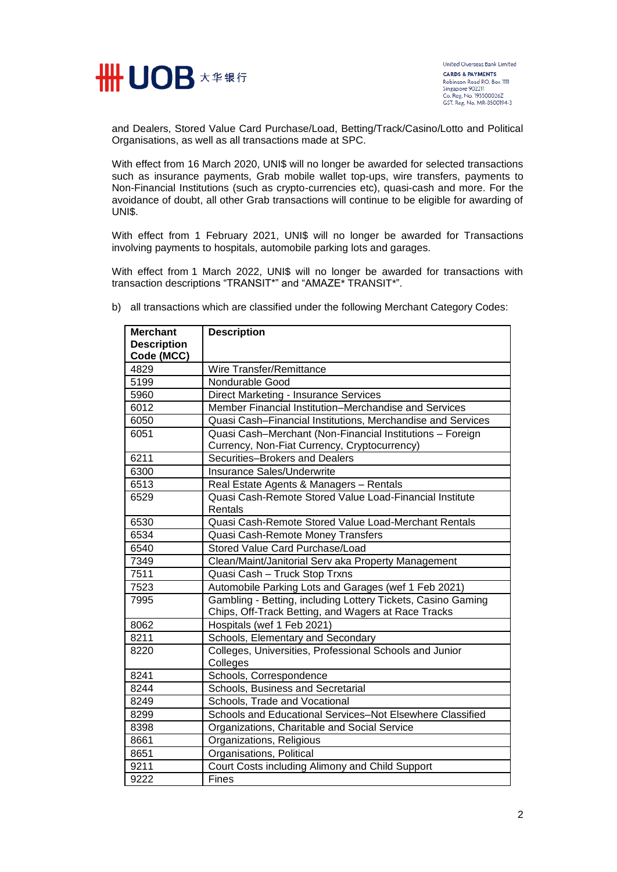

and Dealers, Stored Value Card Purchase/Load, Betting/Track/Casino/Lotto and Political Organisations, as well as all transactions made at SPC.

With effect from 16 March 2020, UNI\$ will no longer be awarded for selected transactions such as insurance payments, Grab mobile wallet top-ups, wire transfers, payments to Non-Financial Institutions (such as crypto-currencies etc), quasi-cash and more. For the avoidance of doubt, all other Grab transactions will continue to be eligible for awarding of UNI\$.

With effect from 1 February 2021, UNI\$ will no longer be awarded for Transactions involving payments to hospitals, automobile parking lots and garages.

With effect from 1 March 2022, UNI\$ will no longer be awarded for transactions with transaction descriptions "TRANSIT\*" and "AMAZE\* TRANSIT\*".

| <b>Merchant</b><br><b>Description</b> | <b>Description</b>                                                                                                  |
|---------------------------------------|---------------------------------------------------------------------------------------------------------------------|
| Code (MCC)                            |                                                                                                                     |
| 4829                                  | Wire Transfer/Remittance                                                                                            |
| 5199                                  | Nondurable Good                                                                                                     |
| 5960                                  | Direct Marketing - Insurance Services                                                                               |
| 6012                                  | Member Financial Institution-Merchandise and Services                                                               |
| 6050                                  | Quasi Cash-Financial Institutions, Merchandise and Services                                                         |
| 6051                                  | Quasi Cash-Merchant (Non-Financial Institutions - Foreign                                                           |
|                                       | Currency, Non-Fiat Currency, Cryptocurrency)                                                                        |
| 6211                                  | Securities-Brokers and Dealers                                                                                      |
| 6300                                  | Insurance Sales/Underwrite                                                                                          |
| 6513                                  | Real Estate Agents & Managers - Rentals                                                                             |
| 6529                                  | Quasi Cash-Remote Stored Value Load-Financial Institute<br>Rentals                                                  |
| 6530                                  | Quasi Cash-Remote Stored Value Load-Merchant Rentals                                                                |
| 6534                                  | Quasi Cash-Remote Money Transfers                                                                                   |
| 6540                                  | Stored Value Card Purchase/Load                                                                                     |
| 7349                                  | Clean/Maint/Janitorial Serv aka Property Management                                                                 |
| 7511                                  | Quasi Cash - Truck Stop Trxns                                                                                       |
| 7523                                  | Automobile Parking Lots and Garages (wef 1 Feb 2021)                                                                |
| 7995                                  | Gambling - Betting, including Lottery Tickets, Casino Gaming<br>Chips, Off-Track Betting, and Wagers at Race Tracks |
| 8062                                  | Hospitals (wef 1 Feb 2021)                                                                                          |
| 8211                                  | Schools, Elementary and Secondary                                                                                   |
| 8220                                  | Colleges, Universities, Professional Schools and Junior<br>Colleges                                                 |
| 8241                                  | Schools, Correspondence                                                                                             |
| 8244                                  | Schools, Business and Secretarial                                                                                   |
| 8249                                  | Schools, Trade and Vocational                                                                                       |
| 8299                                  | Schools and Educational Services-Not Elsewhere Classified                                                           |
| 8398                                  | Organizations, Charitable and Social Service                                                                        |
| 8661                                  | Organizations, Religious                                                                                            |
| 8651                                  | Organisations, Political                                                                                            |
| 9211                                  | Court Costs including Alimony and Child Support                                                                     |
| 9222                                  | Fines                                                                                                               |

b) all transactions which are classified under the following Merchant Category Codes: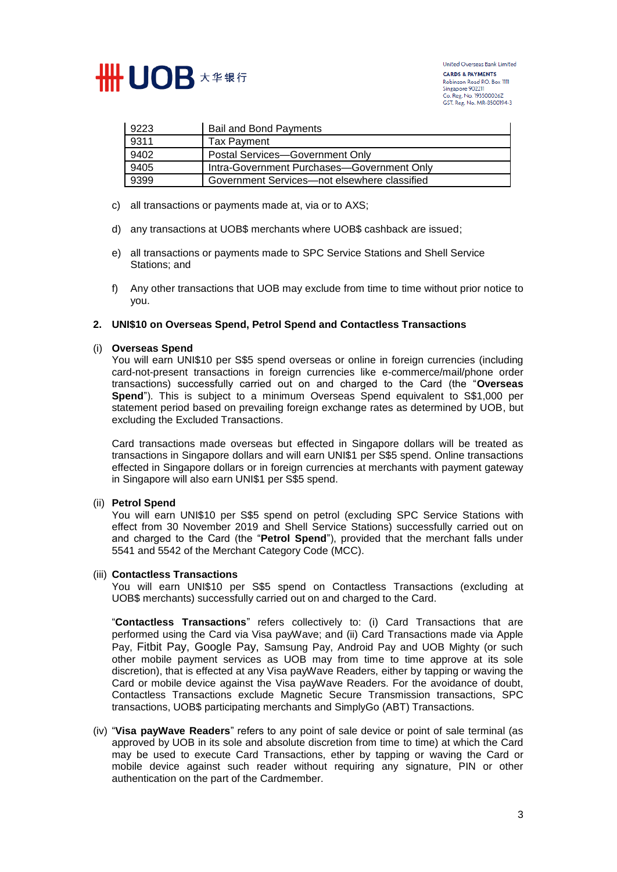

United Overseas Bank Limited **CARDS & PAYMENTS** Robinson Road P.O. Box IIII<br>Singapore 902211 Singapore 2011<br>Co. Reg. No. 193500026Z<br>GST. Reg. No. MR-8500194-3

| 9223 | <b>Bail and Bond Payments</b>                |
|------|----------------------------------------------|
| 9311 | Tax Payment                                  |
| 9402 | Postal Services-Government Only              |
| 9405 | Intra-Government Purchases-Government Only   |
| 9399 | Government Services—not elsewhere classified |

- c) all transactions or payments made at, via or to AXS;
- d) any transactions at UOB\$ merchants where UOB\$ cashback are issued;
- e) all transactions or payments made to SPC Service Stations and Shell Service Stations; and
- f) Any other transactions that UOB may exclude from time to time without prior notice to you.

# **2. UNI\$10 on Overseas Spend, Petrol Spend and Contactless Transactions**

#### (i) **Overseas Spend**

You will earn UNI\$10 per S\$5 spend overseas or online in foreign currencies (including card-not-present transactions in foreign currencies like e-commerce/mail/phone order transactions) successfully carried out on and charged to the Card (the "**Overseas Spend**"). This is subject to a minimum Overseas Spend equivalent to S\$1,000 per statement period based on prevailing foreign exchange rates as determined by UOB, but excluding the Excluded Transactions.

Card transactions made overseas but effected in Singapore dollars will be treated as transactions in Singapore dollars and will earn UNI\$1 per S\$5 spend. Online transactions effected in Singapore dollars or in foreign currencies at merchants with payment gateway in Singapore will also earn UNI\$1 per S\$5 spend.

#### (ii) **Petrol Spend**

You will earn UNI\$10 per S\$5 spend on petrol (excluding SPC Service Stations with effect from 30 November 2019 and Shell Service Stations) successfully carried out on and charged to the Card (the "**Petrol Spend**"), provided that the merchant falls under 5541 and 5542 of the Merchant Category Code (MCC).

#### (iii) **Contactless Transactions**

You will earn UNI\$10 per S\$5 spend on Contactless Transactions (excluding at UOB\$ merchants) successfully carried out on and charged to the Card.

"**Contactless Transactions**" refers collectively to: (i) Card Transactions that are performed using the Card via Visa payWave; and (ii) Card Transactions made via Apple Pay, Fitbit Pay, Google Pay, Samsung Pay, Android Pay and UOB Mighty (or such other mobile payment services as UOB may from time to time approve at its sole discretion), that is effected at any Visa payWave Readers, either by tapping or waving the Card or mobile device against the Visa payWave Readers. For the avoidance of doubt, Contactless Transactions exclude Magnetic Secure Transmission transactions, SPC transactions, UOB\$ participating merchants and SimplyGo (ABT) Transactions.

(iv) "**Visa payWave Readers**" refers to any point of sale device or point of sale terminal (as approved by UOB in its sole and absolute discretion from time to time) at which the Card may be used to execute Card Transactions, ether by tapping or waving the Card or mobile device against such reader without requiring any signature, PIN or other authentication on the part of the Cardmember.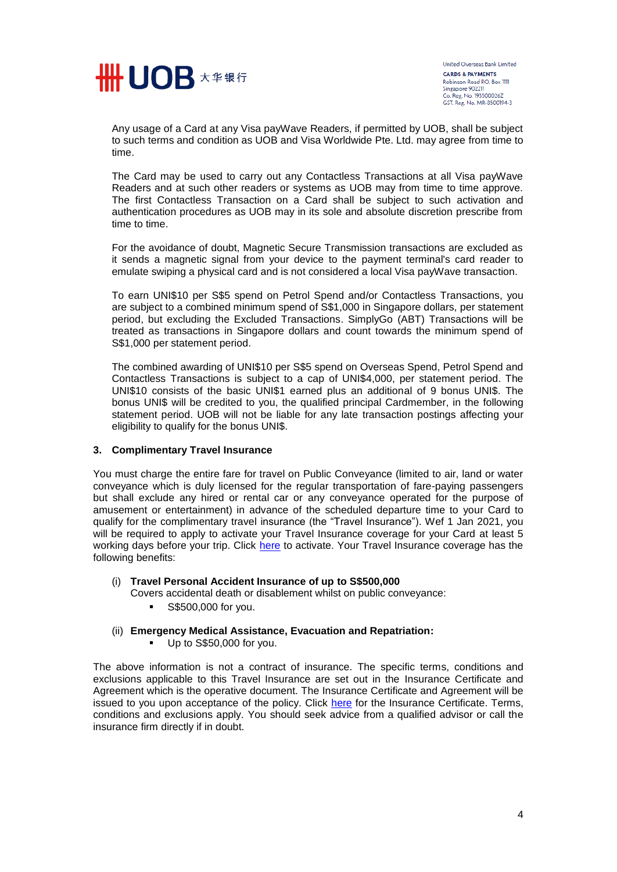

United Overseas Bank Limited **CARDS & PAYMENTS** Robinson Road P.O. Box IIII<br>Singapore 902211 Singapore 982211<br>Co. Reg. No. 193500026Z<br>GST. Reg. No. MR-8500194-3

Any usage of a Card at any Visa payWave Readers, if permitted by UOB, shall be subject to such terms and condition as UOB and Visa Worldwide Pte. Ltd. may agree from time to time.

The Card may be used to carry out any Contactless Transactions at all Visa payWave Readers and at such other readers or systems as UOB may from time to time approve. The first Contactless Transaction on a Card shall be subject to such activation and authentication procedures as UOB may in its sole and absolute discretion prescribe from time to time.

For the avoidance of doubt, Magnetic Secure Transmission transactions are excluded as it sends a magnetic signal from your device to the payment terminal's card reader to emulate swiping a physical card and is not considered a local Visa payWave transaction.

To earn UNI\$10 per S\$5 spend on Petrol Spend and/or Contactless Transactions, you are subject to a combined minimum spend of S\$1,000 in Singapore dollars, per statement period, but excluding the Excluded Transactions. SimplyGo (ABT) Transactions will be treated as transactions in Singapore dollars and count towards the minimum spend of S\$1,000 per statement period.

The combined awarding of UNI\$10 per S\$5 spend on Overseas Spend, Petrol Spend and Contactless Transactions is subject to a cap of UNI\$4,000, per statement period. The UNI\$10 consists of the basic UNI\$1 earned plus an additional of 9 bonus UNI\$. The bonus UNI\$ will be credited to you, the qualified principal Cardmember, in the following statement period. UOB will not be liable for any late transaction postings affecting your eligibility to qualify for the bonus UNI\$.

#### **3. Complimentary Travel Insurance**

You must charge the entire fare for travel on Public Conveyance (limited to air, land or water conveyance which is duly licensed for the regular transportation of fare-paying passengers but shall exclude any hired or rental car or any conveyance operated for the purpose of amusement or entertainment) in advance of the scheduled departure time to your Card to qualify for the complimentary travel insurance (the "Travel Insurance"). Wef 1 Jan 2021, you will be required to apply to activate your Travel Insurance coverage for your Card at least 5 working days before your trip. Click [here](https://forms.uob.com.sg/personal/cards/privileges/travelinsurance.html?adobe_mc=MCMID%3D59918771426954828132968777543919940345%7CMCORGID%3D116168F454E6DA2A0A4C98A6%2540AdobeOrg%7CTS%3D1609727368&i_cid=pfs:sg:owned:int:site:na:li:na:na:na-evergreen:direct:na&vid=none&_ga=2.149859509.2022350065.1609726322-1733735808.1586167204) to activate. Your Travel Insurance coverage has the following benefits:

#### (i) **Travel Personal Accident Insurance of up to S\$500,000**

- Covers accidental death or disablement whilst on public conveyance:
	- **S\$500,000 for you.**
- (ii) **Emergency Medical Assistance, Evacuation and Repatriation:**
	- Up to S\$50,000 for you.

The above information is not a contract of insurance. The specific terms, conditions and exclusions applicable to this Travel Insurance are set out in the Insurance Certificate and Agreement which is the operative document. The Insurance Certificate and Agreement will be issued to you upon acceptance of the policy. Click [here](https://www.uob.com.sg/assets/pdfs/certificate-of-insurance-group-2-opt-in.pdf?adobe_mc=MCMID%3D18216010561522620541829884814288273816%7CMCORGID%3D116168F454E6DA2A0A4C98A6%2540AdobeOrg%7CTS%3D1609122203&&vid=none&&ms=undefined) for the Insurance Certificate. Terms, conditions and exclusions apply. You should seek advice from a qualified advisor or call the insurance firm directly if in doubt.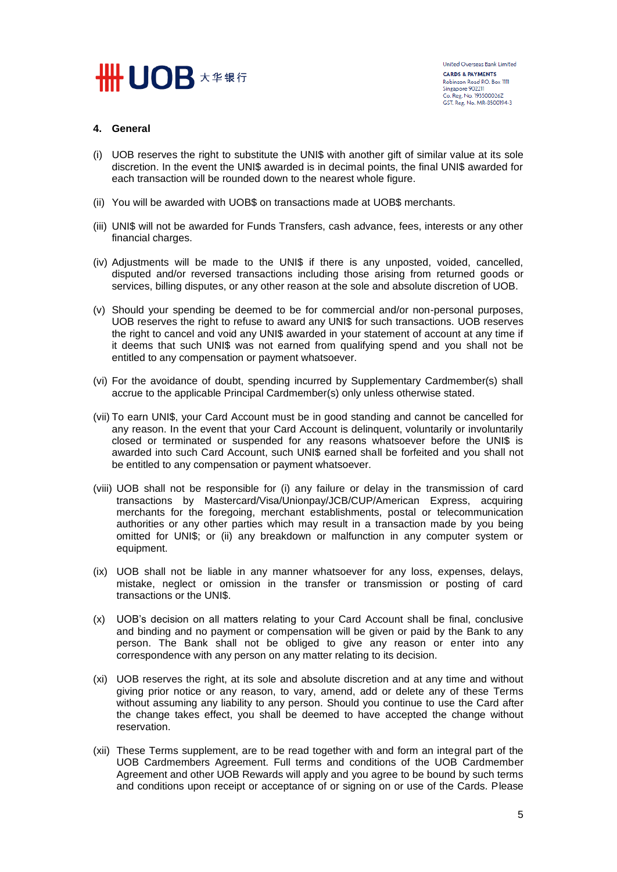# **SEND DE X # \$ 5**

# **4. General**

- (i) UOB reserves the right to substitute the UNI\$ with another gift of similar value at its sole discretion. In the event the UNI\$ awarded is in decimal points, the final UNI\$ awarded for each transaction will be rounded down to the nearest whole figure.
- (ii) You will be awarded with UOB\$ on transactions made at UOB\$ merchants.
- (iii) UNI\$ will not be awarded for Funds Transfers, cash advance, fees, interests or any other financial charges.
- (iv) Adjustments will be made to the UNI\$ if there is any unposted, voided, cancelled, disputed and/or reversed transactions including those arising from returned goods or services, billing disputes, or any other reason at the sole and absolute discretion of UOB.
- (v) Should your spending be deemed to be for commercial and/or non-personal purposes, UOB reserves the right to refuse to award any UNI\$ for such transactions. UOB reserves the right to cancel and void any UNI\$ awarded in your statement of account at any time if it deems that such UNI\$ was not earned from qualifying spend and you shall not be entitled to any compensation or payment whatsoever.
- (vi) For the avoidance of doubt, spending incurred by Supplementary Cardmember(s) shall accrue to the applicable Principal Cardmember(s) only unless otherwise stated.
- (vii) To earn UNI\$, your Card Account must be in good standing and cannot be cancelled for any reason. In the event that your Card Account is delinquent, voluntarily or involuntarily closed or terminated or suspended for any reasons whatsoever before the UNI\$ is awarded into such Card Account, such UNI\$ earned shall be forfeited and you shall not be entitled to any compensation or payment whatsoever.
- (viii) UOB shall not be responsible for (i) any failure or delay in the transmission of card transactions by Mastercard/Visa/Unionpay/JCB/CUP/American Express, acquiring merchants for the foregoing, merchant establishments, postal or telecommunication authorities or any other parties which may result in a transaction made by you being omitted for UNI\$; or (ii) any breakdown or malfunction in any computer system or equipment.
- (ix) UOB shall not be liable in any manner whatsoever for any loss, expenses, delays, mistake, neglect or omission in the transfer or transmission or posting of card transactions or the UNI\$.
- (x) UOB's decision on all matters relating to your Card Account shall be final, conclusive and binding and no payment or compensation will be given or paid by the Bank to any person. The Bank shall not be obliged to give any reason or enter into any correspondence with any person on any matter relating to its decision.
- (xi) UOB reserves the right, at its sole and absolute discretion and at any time and without giving prior notice or any reason, to vary, amend, add or delete any of these Terms without assuming any liability to any person. Should you continue to use the Card after the change takes effect, you shall be deemed to have accepted the change without reservation.
- (xii) These Terms supplement, are to be read together with and form an integral part of the UOB Cardmembers Agreement. Full terms and conditions of the UOB Cardmember Agreement and other UOB Rewards will apply and you agree to be bound by such terms and conditions upon receipt or acceptance of or signing on or use of the Cards. Please